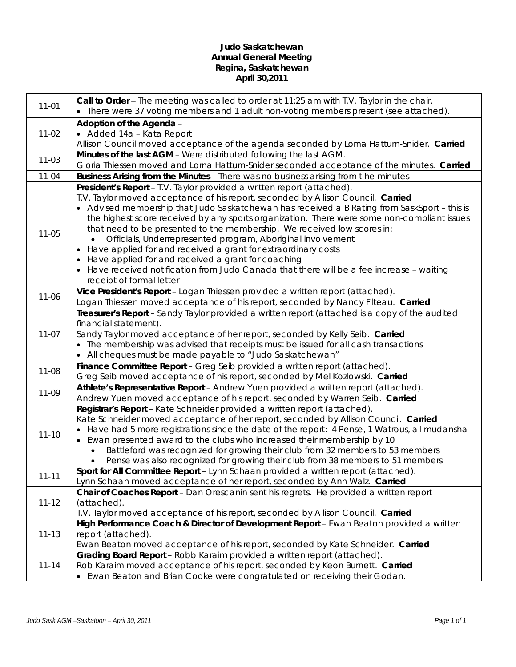## **Judo Saskatchewan Annual General Meeting Regina, Saskatchewan April 30,2011**

| $11 - 01$ | Call to Order - The meeting was called to order at 11:25 am with T.V. Taylor in the chair.<br>• There were 37 voting members and 1 adult non-voting members present (see attached). |  |  |
|-----------|-------------------------------------------------------------------------------------------------------------------------------------------------------------------------------------|--|--|
|           | Adoption of the Agenda -                                                                                                                                                            |  |  |
| $11-02$   | • Added 14a - Kata Report                                                                                                                                                           |  |  |
|           | Allison Council moved acceptance of the agenda seconded by Lorna Hattum-Snider. Carried                                                                                             |  |  |
|           | Minutes of the last AGM - Were distributed following the last AGM.                                                                                                                  |  |  |
| $11 - 03$ | Gloria Thiessen moved and Lorna Hattum-Snider seconded acceptance of the minutes. Carried                                                                                           |  |  |
| $11 - 04$ | Business Arising from the Minutes - There was no business arising from the minutes                                                                                                  |  |  |
|           | President's Report - T.V. Taylor provided a written report (attached).                                                                                                              |  |  |
|           | T.V. Taylor moved acceptance of his report, seconded by Allison Council. Carried                                                                                                    |  |  |
|           | • Advised membership that Judo Saskatchewan has received a B Rating from SaskSport - this is                                                                                        |  |  |
|           | the highest score received by any sports organization. There were some non-compliant issues                                                                                         |  |  |
|           | that need to be presented to the membership. We received low scores in:                                                                                                             |  |  |
| $11 - 05$ | Officials, Underrepresented program, Aboriginal involvement                                                                                                                         |  |  |
|           | Have applied for and received a grant for extraordinary costs                                                                                                                       |  |  |
|           | Have applied for and received a grant for coaching                                                                                                                                  |  |  |
|           | Have received notification from Judo Canada that there will be a fee increase - waiting                                                                                             |  |  |
|           | receipt of formal letter                                                                                                                                                            |  |  |
| $11 - 06$ | Vice President's Report - Logan Thiessen provided a written report (attached).                                                                                                      |  |  |
|           | Logan Thiessen moved acceptance of his report, seconded by Nancy Filteau. Carried                                                                                                   |  |  |
|           | Treasurer's Report - Sandy Taylor provided a written report (attached is a copy of the audited                                                                                      |  |  |
|           | financial statement).                                                                                                                                                               |  |  |
| $11-07$   | Sandy Taylor moved acceptance of her report, seconded by Kelly Seib. Carried                                                                                                        |  |  |
|           | • The membership was advised that receipts must be issued for all cash transactions                                                                                                 |  |  |
|           | All cheques must be made payable to "Judo Saskatchewan"                                                                                                                             |  |  |
| 11-08     | Finance Committee Report - Greg Seib provided a written report (attached).                                                                                                          |  |  |
|           | Greg Seib moved acceptance of his report, seconded by Mel Kozlowski. Carried                                                                                                        |  |  |
| 11-09     | Athlete's Representative Report - Andrew Yuen provided a written report (attached).                                                                                                 |  |  |
|           | Andrew Yuen moved acceptance of his report, seconded by Warren Seib. Carried                                                                                                        |  |  |
|           | Registrar's Report - Kate Schneider provided a written report (attached).                                                                                                           |  |  |
|           | Kate Schneider moved acceptance of her report, seconded by Allison Council. Carried                                                                                                 |  |  |
| $11 - 10$ | Have had 5 more registrations since the date of the report: 4 Pense, 1 Watrous, all mudansha                                                                                        |  |  |
|           | Ewan presented award to the clubs who increased their membership by 10                                                                                                              |  |  |
|           | Battleford was recognized for growing their club from 32 members to 53 members                                                                                                      |  |  |
|           | Pense was also recognized for growing their club from 38 members to 51 members                                                                                                      |  |  |
| $11 - 11$ | Sport for All Committee Report - Lynn Schaan provided a written report (attached).<br>Lynn Schaan moved acceptance of her report, seconded by Ann Walz. Carried                     |  |  |
|           | Chair of Coaches Report - Dan Orescanin sent his regrets. He provided a written report                                                                                              |  |  |
| $11 - 12$ | (attached).                                                                                                                                                                         |  |  |
|           | T.V. Taylor moved acceptance of his report, seconded by Allison Council. Carried                                                                                                    |  |  |
|           | High Performance Coach & Director of Development Report - Ewan Beaton provided a written                                                                                            |  |  |
| $11 - 13$ | report (attached).                                                                                                                                                                  |  |  |
|           | Ewan Beaton moved acceptance of his report, seconded by Kate Schneider. Carried                                                                                                     |  |  |
|           | Grading Board Report - Robb Karaim provided a written report (attached).                                                                                                            |  |  |
| $11 - 14$ | Rob Karaim moved acceptance of his report, seconded by Keon Burnett. Carried                                                                                                        |  |  |
|           | • Ewan Beaton and Brian Cooke were congratulated on receiving their Godan.                                                                                                          |  |  |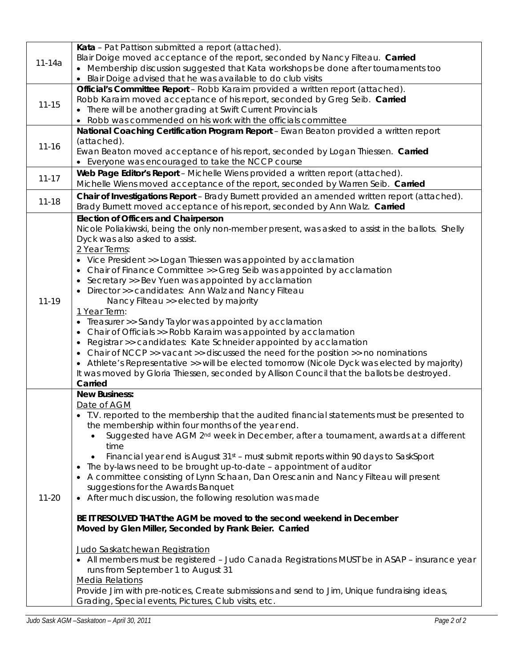|            | Kata - Pat Pattison submitted a report (attached).                                                |
|------------|---------------------------------------------------------------------------------------------------|
|            | Blair Doige moved acceptance of the report, seconded by Nancy Filteau. Carried                    |
| $11 - 14a$ | • Membership discussion suggested that Kata workshops be done after tournaments too               |
|            | Blair Doige advised that he was available to do club visits                                       |
|            | Official's Committee Report - Robb Karaim provided a written report (attached).                   |
|            | Robb Karaim moved acceptance of his report, seconded by Greg Seib. Carried                        |
| $11 - 15$  | • There will be another grading at Swift Current Provincials                                      |
|            |                                                                                                   |
|            | Robb was commended on his work with the officials committee                                       |
|            | National Coaching Certification Program Report - Ewan Beaton provided a written report            |
| $11 - 16$  | (attached).                                                                                       |
|            | Ewan Beaton moved acceptance of his report, seconded by Logan Thiessen. Carried                   |
|            | Everyone was encouraged to take the NCCP course                                                   |
| $11 - 17$  | Web Page Editor's Report - Michelle Wiens provided a written report (attached).                   |
|            | Michelle Wiens moved acceptance of the report, seconded by Warren Seib. Carried                   |
|            | Chair of Investigations Report - Brady Burnett provided an amended written report (attached).     |
| $11 - 18$  | Brady Burnett moved acceptance of his report, seconded by Ann Walz. Carried                       |
|            | <b>Election of Officers and Chairperson</b>                                                       |
|            | Nicole Poliakiwski, being the only non-member present, was asked to assist in the ballots. Shelly |
|            | Dyck was also asked to assist.                                                                    |
|            | 2 Year Terms:                                                                                     |
|            | • Vice President >> Logan Thiessen was appointed by acclamation                                   |
|            | Chair of Finance Committee >> Greg Seib was appointed by acclamation                              |
|            | $\bullet$                                                                                         |
|            | Secretary >> Bev Yuen was appointed by acclamation<br>$\bullet$                                   |
|            | Director >> candidates: Ann Walz and Nancy Filteau<br>$\bullet$                                   |
| $11 - 19$  | Nancy Filteau >> elected by majority                                                              |
|            | 1 Year Term:                                                                                      |
|            | Treasurer >> Sandy Taylor was appointed by acclamation                                            |
|            | Chair of Officials >> Robb Karaim was appointed by acclamation                                    |
|            | Registrar >> candidates: Kate Schneider appointed by acclamation                                  |
|            | Chair of NCCP >> vacant >> discussed the need for the position >> no nominations                  |
|            | Athlete's Representative >> will be elected tomorrow (Nicole Dyck was elected by majority)        |
|            | It was moved by Gloria Thiessen, seconded by Allison Council that the ballots be destroyed.       |
|            | Carried                                                                                           |
|            | <b>New Business:</b>                                                                              |
|            | Date of AGM                                                                                       |
|            | • T.V. reported to the membership that the audited financial statements must be presented to      |
|            | the membership within four months of the year end.                                                |
|            | Suggested have AGM 2 <sup>nd</sup> week in December, after a tournament, awards at a different    |
|            | time                                                                                              |
|            | Financial year end is August $31st$ – must submit reports within 90 days to SaskSport             |
|            | The by-laws need to be brought up-to-date - appointment of auditor<br>$\bullet$                   |
|            | A committee consisting of Lynn Schaan, Dan Orescanin and Nancy Filteau will present<br>$\bullet$  |
|            | suggestions for the Awards Banquet                                                                |
| $11 - 20$  | • After much discussion, the following resolution was made                                        |
|            |                                                                                                   |
|            | BE IT RESOLVED THAT the AGM be moved to the second weekend in December                            |
|            |                                                                                                   |
|            | Moved by Glen Miller, Seconded by Frank Beier. Carried                                            |
|            |                                                                                                   |
|            | Judo Saskatchewan Registration                                                                    |
|            | • All members must be registered - Judo Canada Registrations MUST be in ASAP - insurance year     |
|            | runs from September 1 to August 31                                                                |
|            | <b>Media Relations</b>                                                                            |
|            | Provide Jim with pre-notices, Create submissions and send to Jim, Unique fundraising ideas,       |
|            | Grading, Special events, Pictures, Club visits, etc.                                              |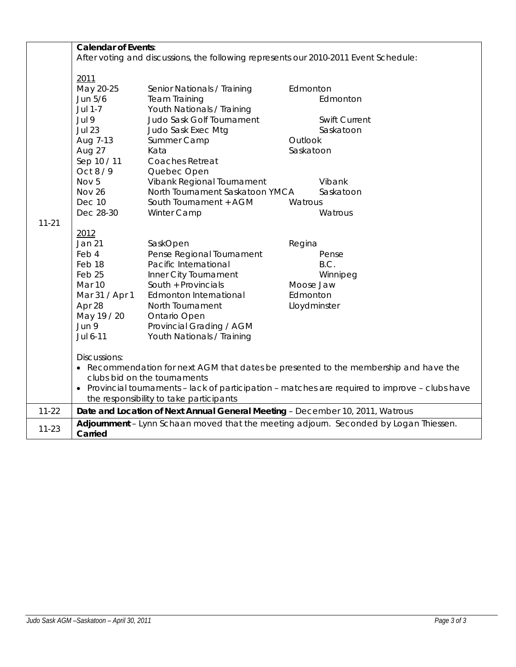|                                                                                                                                                                                                                                                                                    | <b>Calendar of Events:</b>                                                                                                                              |                                                                                                                                                                                                                                                                                          |                                             |                                                                                       |  |
|------------------------------------------------------------------------------------------------------------------------------------------------------------------------------------------------------------------------------------------------------------------------------------|---------------------------------------------------------------------------------------------------------------------------------------------------------|------------------------------------------------------------------------------------------------------------------------------------------------------------------------------------------------------------------------------------------------------------------------------------------|---------------------------------------------|---------------------------------------------------------------------------------------|--|
|                                                                                                                                                                                                                                                                                    | After voting and discussions, the following represents our 2010-2011 Event Schedule:                                                                    |                                                                                                                                                                                                                                                                                          |                                             |                                                                                       |  |
|                                                                                                                                                                                                                                                                                    | 2011<br>May 20-25<br>Jun 5/6<br>Jul 1-7<br>Jul 9<br><b>Jul 23</b><br>Aug 7-13<br>Aug 27<br>Sep 10 / 11<br>Oct 8 / 9<br>Nov 5<br>Nov 26<br><b>Dec 10</b> | Senior Nationals / Training<br><b>Team Training</b><br>Youth Nationals / Training<br>Judo Sask Golf Tournament<br>Judo Sask Exec Mtg<br>Summer Camp<br>Kata<br>Coaches Retreat<br>Quebec Open<br>Vibank Regional Tournament<br>North Tournament Saskatoon YMCA<br>South Tournament + AGM | Edmonton<br>Outlook<br>Saskatoon<br>Watrous | Edmonton<br><b>Swift Current</b><br>Saskatoon<br>Vibank<br>Saskatoon                  |  |
| $11 - 21$                                                                                                                                                                                                                                                                          | Dec 28-30                                                                                                                                               | Winter Camp                                                                                                                                                                                                                                                                              |                                             | Watrous                                                                               |  |
|                                                                                                                                                                                                                                                                                    | 2012<br><b>Jan 21</b><br>Feb 4<br>Feb 18<br>Feb <sub>25</sub><br>Mar 10<br>Mar 31 / Apr 1<br>Apr 28<br>May 19 / 20<br>Jun 9<br>Jul 6-11                 | SaskOpen<br>Pense Regional Tournament<br>Pacific International<br>Inner City Tournament<br>South + Provincials<br>Edmonton International<br>North Tournament<br>Ontario Open<br>Provincial Grading / AGM<br>Youth Nationals / Training                                                   | Regina<br>Moose Jaw<br>Edmonton             | Pense<br>B.C.<br>Winnipeg<br>Lloydminster                                             |  |
| Discussions:<br>• Recommendation for next AGM that dates be presented to the membership and have the<br>clubs bid on the tournaments<br>• Provincial tournaments - lack of participation - matches are required to improve - clubs have<br>the responsibility to take participants |                                                                                                                                                         |                                                                                                                                                                                                                                                                                          |                                             |                                                                                       |  |
| $11 - 22$                                                                                                                                                                                                                                                                          |                                                                                                                                                         | Date and Location of Next Annual General Meeting - December 10, 2011, Watrous                                                                                                                                                                                                            |                                             |                                                                                       |  |
| $11 - 23$                                                                                                                                                                                                                                                                          | Carried                                                                                                                                                 |                                                                                                                                                                                                                                                                                          |                                             | Adjournment - Lynn Schaan moved that the meeting adjourn. Seconded by Logan Thiessen. |  |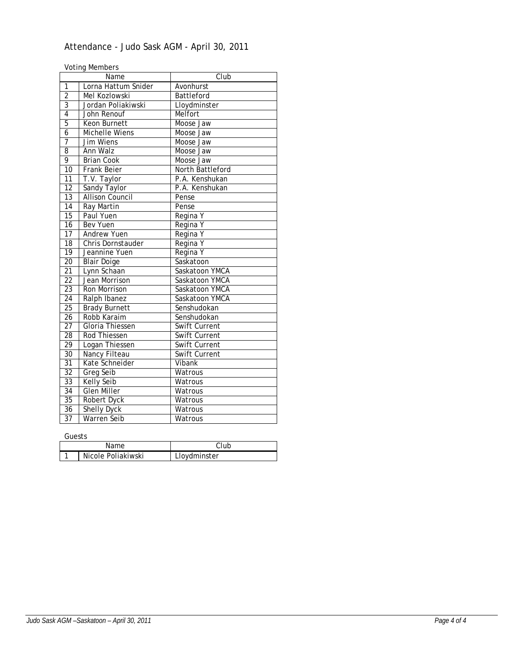# Attendance - Judo Sask AGM - April 30, 2011

Voting Members

|                 | Name                        | Club                 |  |
|-----------------|-----------------------------|----------------------|--|
| 1               | Lorna Hattum Snider         | Avonhurst            |  |
| $\overline{2}$  | Mel Kozlowski<br>Battleford |                      |  |
| $\overline{3}$  | Jordan Poliakiwski          | Lloydminster         |  |
| $\overline{4}$  | John Renouf                 | Melfort              |  |
| $\overline{5}$  | Moose Jaw<br>Keon Burnett   |                      |  |
| $\overline{6}$  | <b>Michelle Wiens</b>       | Moose Jaw            |  |
| 7               | Jim Wiens                   | Moose Jaw            |  |
| 8               | Ann Walz                    | Moose Jaw            |  |
| 9               | <b>Brian Cook</b>           | Moose Jaw            |  |
| 10              | <b>Frank Beier</b>          | North Battleford     |  |
| $\overline{11}$ | $\overline{T}$ .V. Taylor   | P.A. Kenshukan       |  |
| $\overline{12}$ | Sandy Taylor                | P.A. Kenshukan       |  |
| 13              | <b>Allison Council</b>      | Pense                |  |
| 14              | Ray Martin                  | Pense                |  |
| $\overline{15}$ | Paul Yuen<br>Regina Y       |                      |  |
| 16              | <b>Bev Yuen</b>             | Regina Y             |  |
| $\overline{17}$ | <b>Andrew Yuen</b>          | Regina Y             |  |
| $\overline{18}$ | Chris Dornstauder           | Regina Y             |  |
| 19              | Jeannine Yuen               | Regina Y             |  |
| $\overline{20}$ | <b>Blair Doige</b>          | Saskatoon            |  |
| $\overline{21}$ | Lynn Schaan                 | Saskatoon YMCA       |  |
| $\overline{22}$ | Jean Morrison               | Saskatoon YMCA       |  |
| 23              | Ron Morrison                | Saskatoon YMCA       |  |
| 24              | Ralph Ibanez                | Saskatoon YMCA       |  |
| $\overline{25}$ | <b>Brady Burnett</b>        | Senshudokan          |  |
| $\overline{26}$ | Robb Karaim                 | Senshudokan          |  |
| $\overline{27}$ | Gloria Thiessen             | <b>Swift Current</b> |  |
| 28              | Rod Thiessen                | Swift Current        |  |
| 29              | Logan Thiessen              | Swift Current        |  |
| 30              | Nancy Filteau               | <b>Swift Current</b> |  |
| 31              | Kate Schneider              | Vibank               |  |
| 32              | Greg Seib                   | Watrous              |  |
| 33              | <b>Kelly Seib</b>           | Watrous              |  |
| 34              | <b>Glen Miller</b>          | Watrous              |  |
| 35              | Robert Dyck                 | Watrous              |  |
| 36              | <b>Shelly Dyck</b>          | Watrous              |  |
| 37              | Warren Seib                 | Watrous              |  |

Guests

| ------ |                    |               |
|--------|--------------------|---------------|
| Name   |                    |               |
|        | Nicole Poliakiwski | _lovdminster_ |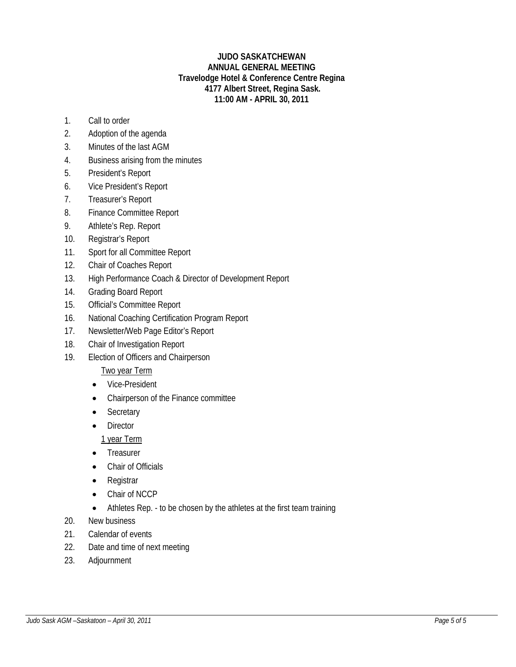## **JUDO SASKATCHEWAN ANNUAL GENERAL MEETING Travelodge Hotel & Conference Centre Regina 4177 Albert Street, Regina Sask. 11:00 AM - APRIL 30, 2011**

- 1. Call to order
- 2. Adoption of the agenda
- 3. Minutes of the last AGM
- 4. Business arising from the minutes
- 5. President's Report
- 6. Vice President's Report
- 7. Treasurer's Report
- 8. Finance Committee Report
- 9. Athlete's Rep. Report
- 10. Registrar's Report
- 11. Sport for all Committee Report
- 12. Chair of Coaches Report
- 13. High Performance Coach & Director of Development Report
- 14. Grading Board Report
- 15. Official's Committee Report
- 16. National Coaching Certification Program Report
- 17. Newsletter/Web Page Editor's Report
- 18. Chair of Investigation Report
- 19. Election of Officers and Chairperson

# Two year Term

- Vice-President
- Chairperson of the Finance committee
- Secretary
- Director

1 year Term

- Treasurer
- Chair of Officials
- Registrar
- Chair of NCCP
- Athletes Rep. to be chosen by the athletes at the first team training
- 20. New business
- 21. Calendar of events
- 22. Date and time of next meeting
- 23. Adjournment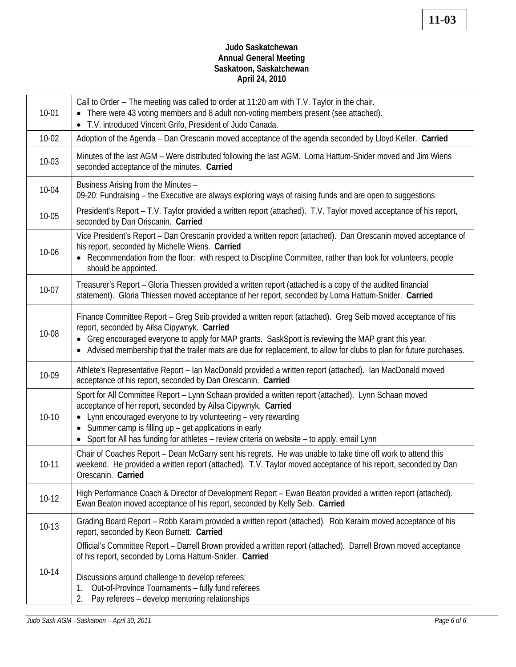# **Judo Saskatchewan Annual General Meeting Saskatoon, Saskatchewan April 24, 2010**

| $10 - 01$ | Call to Order - The meeting was called to order at 11:20 am with T.V. Taylor in the chair.<br>There were 43 voting members and 8 adult non-voting members present (see attached).<br>• T.V. introduced Vincent Grifo, President of Judo Canada.                                                                                                                                                 |  |  |
|-----------|-------------------------------------------------------------------------------------------------------------------------------------------------------------------------------------------------------------------------------------------------------------------------------------------------------------------------------------------------------------------------------------------------|--|--|
| $10-02$   | Adoption of the Agenda - Dan Orescanin moved acceptance of the agenda seconded by Lloyd Keller. Carried                                                                                                                                                                                                                                                                                         |  |  |
| $10-03$   | Minutes of the last AGM - Were distributed following the last AGM. Lorna Hattum-Snider moved and Jim Wiens<br>seconded acceptance of the minutes. Carried                                                                                                                                                                                                                                       |  |  |
| 10-04     | Business Arising from the Minutes -<br>09-20: Fundraising – the Executive are always exploring ways of raising funds and are open to suggestions                                                                                                                                                                                                                                                |  |  |
| $10 - 05$ | President's Report – T.V. Taylor provided a written report (attached). T.V. Taylor moved acceptance of his report,<br>seconded by Dan Oriscanin. Carried                                                                                                                                                                                                                                        |  |  |
| 10-06     | Vice President's Report - Dan Orescanin provided a written report (attached). Dan Orescanin moved acceptance of<br>his report, seconded by Michelle Wiens. Carried<br>• Recommendation from the floor: with respect to Discipline Committee, rather than look for volunteers, people<br>should be appointed.                                                                                    |  |  |
| $10-07$   | Treasurer's Report - Gloria Thiessen provided a written report (attached is a copy of the audited financial<br>statement). Gloria Thiessen moved acceptance of her report, seconded by Lorna Hattum-Snider. Carried                                                                                                                                                                             |  |  |
| 10-08     | Finance Committee Report - Greg Seib provided a written report (attached). Greg Seib moved acceptance of his<br>report, seconded by Ailsa Cipywnyk. Carried<br>• Greg encouraged everyone to apply for MAP grants. SaskSport is reviewing the MAP grant this year.<br>• Advised membership that the trailer mats are due for replacement, to allow for clubs to plan for future purchases.      |  |  |
| 10-09     | Athlete's Representative Report - Ian MacDonald provided a written report (attached). Ian MacDonald moved<br>acceptance of his report, seconded by Dan Orescanin. Carried                                                                                                                                                                                                                       |  |  |
| $10-10$   | Sport for All Committee Report - Lynn Schaan provided a written report (attached). Lynn Schaan moved<br>acceptance of her report, seconded by Ailsa Cipywnyk. Carried<br>Lynn encouraged everyone to try volunteering - very rewarding<br>• Summer camp is filling up - get applications in early<br>Sport for All has funding for athletes - review criteria on website - to apply, email Lynn |  |  |
| $10 - 11$ | Chair of Coaches Report – Dean McGarry sent his regrets. He was unable to take time off work to attend this<br>weekend. He provided a written report (attached). T.V. Taylor moved acceptance of his report, seconded by Dan<br>Orescanin. Carried                                                                                                                                              |  |  |
| $10-12$   | High Performance Coach & Director of Development Report - Ewan Beaton provided a written report (attached).<br>Ewan Beaton moved acceptance of his report, seconded by Kelly Seib. Carried                                                                                                                                                                                                      |  |  |
| $10-13$   | Grading Board Report - Robb Karaim provided a written report (attached). Rob Karaim moved acceptance of his<br>report, seconded by Keon Burnett. Carried                                                                                                                                                                                                                                        |  |  |
| $10 - 14$ | Official's Committee Report - Darrell Brown provided a written report (attached). Darrell Brown moved acceptance<br>of his report, seconded by Lorna Hattum-Snider. Carried<br>Discussions around challenge to develop referees:<br>Out-of-Province Tournaments - fully fund referees<br>1.<br>Pay referees - develop mentoring relationships<br>2.                                             |  |  |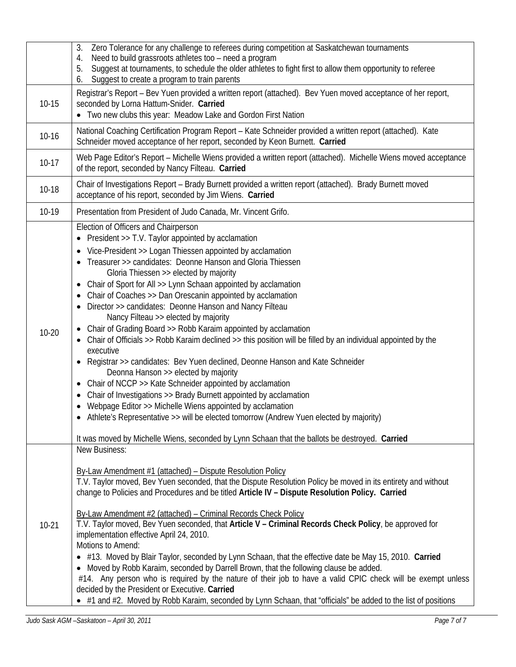|           | Zero Tolerance for any challenge to referees during competition at Saskatchewan tournaments<br>3.<br>Need to build grassroots athletes too - need a program<br>4.<br>Suggest at tournaments, to schedule the older athletes to fight first to allow them opportunity to referee<br>5.<br>Suggest to create a program to train parents<br>6.                                                                                                                                                                                                                                                                                                                                                                                                                                                                                                                                                                                                                                                                                                                                                                                                                                                                                  |  |  |  |
|-----------|------------------------------------------------------------------------------------------------------------------------------------------------------------------------------------------------------------------------------------------------------------------------------------------------------------------------------------------------------------------------------------------------------------------------------------------------------------------------------------------------------------------------------------------------------------------------------------------------------------------------------------------------------------------------------------------------------------------------------------------------------------------------------------------------------------------------------------------------------------------------------------------------------------------------------------------------------------------------------------------------------------------------------------------------------------------------------------------------------------------------------------------------------------------------------------------------------------------------------|--|--|--|
| $10 - 15$ | Registrar's Report - Bev Yuen provided a written report (attached). Bev Yuen moved acceptance of her report,<br>seconded by Lorna Hattum-Snider. Carried<br>• Two new clubs this year: Meadow Lake and Gordon First Nation                                                                                                                                                                                                                                                                                                                                                                                                                                                                                                                                                                                                                                                                                                                                                                                                                                                                                                                                                                                                   |  |  |  |
| $10 - 16$ | National Coaching Certification Program Report - Kate Schneider provided a written report (attached). Kate<br>Schneider moved acceptance of her report, seconded by Keon Burnett. Carried                                                                                                                                                                                                                                                                                                                                                                                                                                                                                                                                                                                                                                                                                                                                                                                                                                                                                                                                                                                                                                    |  |  |  |
| $10-17$   | Web Page Editor's Report - Michelle Wiens provided a written report (attached). Michelle Wiens moved acceptance<br>of the report, seconded by Nancy Filteau. Carried                                                                                                                                                                                                                                                                                                                                                                                                                                                                                                                                                                                                                                                                                                                                                                                                                                                                                                                                                                                                                                                         |  |  |  |
| $10-18$   | Chair of Investigations Report - Brady Burnett provided a written report (attached). Brady Burnett moved<br>acceptance of his report, seconded by Jim Wiens. Carried                                                                                                                                                                                                                                                                                                                                                                                                                                                                                                                                                                                                                                                                                                                                                                                                                                                                                                                                                                                                                                                         |  |  |  |
| 10-19     | Presentation from President of Judo Canada, Mr. Vincent Grifo.                                                                                                                                                                                                                                                                                                                                                                                                                                                                                                                                                                                                                                                                                                                                                                                                                                                                                                                                                                                                                                                                                                                                                               |  |  |  |
| $10 - 20$ | Election of Officers and Chairperson<br>• President $>> T.V.$ Taylor appointed by acclamation<br>• Vice-President >> Logan Thiessen appointed by acclamation<br>Treasurer >> candidates: Deonne Hanson and Gloria Thiessen<br>Gloria Thiessen >> elected by majority<br>Chair of Sport for All >> Lynn Schaan appointed by acclamation<br>Chair of Coaches >> Dan Orescanin appointed by acclamation<br>Director >> candidates: Deonne Hanson and Nancy Filteau<br>Nancy Filteau >> elected by majority<br>Chair of Grading Board >> Robb Karaim appointed by acclamation<br>Chair of Officials >> Robb Karaim declined >> this position will be filled by an individual appointed by the<br>executive<br>• Registrar >> candidates: Bev Yuen declined, Deonne Hanson and Kate Schneider<br>Deonna Hanson >> elected by majority<br>Chair of NCCP >> Kate Schneider appointed by acclamation<br>Chair of Investigations >> Brady Burnett appointed by acclamation<br>Webpage Editor >> Michelle Wiens appointed by acclamation<br>• Athlete's Representative >> will be elected tomorrow (Andrew Yuen elected by majority)<br>It was moved by Michelle Wiens, seconded by Lynn Schaan that the ballots be destroyed. Carried |  |  |  |
| $10-21$   | New Business:<br>By-Law Amendment #1 (attached) - Dispute Resolution Policy<br>T.V. Taylor moved, Bev Yuen seconded, that the Dispute Resolution Policy be moved in its entirety and without<br>change to Policies and Procedures and be titled Article IV - Dispute Resolution Policy. Carried<br>By-Law Amendment #2 (attached) - Criminal Records Check Policy<br>T.V. Taylor moved, Bev Yuen seconded, that Article V - Criminal Records Check Policy, be approved for<br>implementation effective April 24, 2010.<br>Motions to Amend:<br>• #13. Moved by Blair Taylor, seconded by Lynn Schaan, that the effective date be May 15, 2010. Carried<br>• Moved by Robb Karaim, seconded by Darrell Brown, that the following clause be added.<br>#14. Any person who is required by the nature of their job to have a valid CPIC check will be exempt unless<br>decided by the President or Executive. Carried<br>• #1 and #2. Moved by Robb Karaim, seconded by Lynn Schaan, that "officials" be added to the list of positions                                                                                                                                                                                          |  |  |  |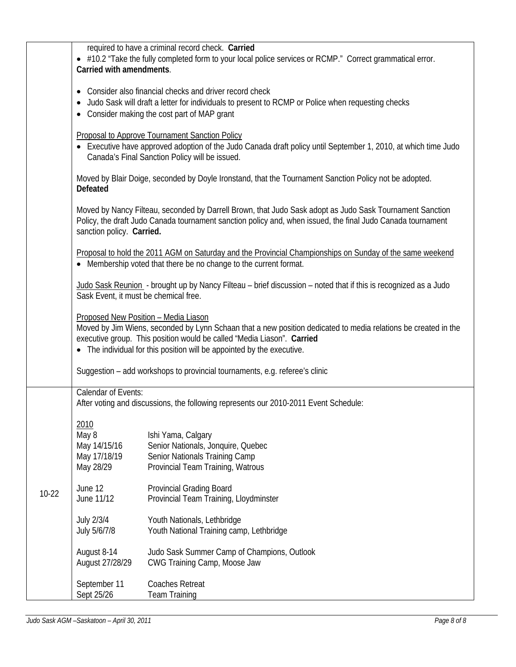|         |                                                                                                                                                          | required to have a criminal record check. Carried                                                                                                                                                                                                                                                          |  |  |  |  |  |
|---------|----------------------------------------------------------------------------------------------------------------------------------------------------------|------------------------------------------------------------------------------------------------------------------------------------------------------------------------------------------------------------------------------------------------------------------------------------------------------------|--|--|--|--|--|
|         | Carried with amendments.                                                                                                                                 | • #10.2 "Take the fully completed form to your local police services or RCMP." Correct grammatical error.                                                                                                                                                                                                  |  |  |  |  |  |
|         | $\bullet$<br>٠                                                                                                                                           | Consider also financial checks and driver record check<br>Judo Sask will draft a letter for individuals to present to RCMP or Police when requesting checks<br>Consider making the cost part of MAP grant                                                                                                  |  |  |  |  |  |
|         | $\bullet$                                                                                                                                                | <b>Proposal to Approve Tournament Sanction Policy</b><br>Executive have approved adoption of the Judo Canada draft policy until September 1, 2010, at which time Judo<br>Canada's Final Sanction Policy will be issued.                                                                                    |  |  |  |  |  |
|         | <b>Defeated</b>                                                                                                                                          | Moved by Blair Doige, seconded by Doyle Ironstand, that the Tournament Sanction Policy not be adopted.                                                                                                                                                                                                     |  |  |  |  |  |
|         | sanction policy. Carried.                                                                                                                                | Moved by Nancy Filteau, seconded by Darrell Brown, that Judo Sask adopt as Judo Sask Tournament Sanction<br>Policy, the draft Judo Canada tournament sanction policy and, when issued, the final Judo Canada tournament                                                                                    |  |  |  |  |  |
|         |                                                                                                                                                          | Proposal to hold the 2011 AGM on Saturday and the Provincial Championships on Sunday of the same weekend<br>• Membership voted that there be no change to the current format.                                                                                                                              |  |  |  |  |  |
|         | Judo Sask Reunion - brought up by Nancy Filteau - brief discussion - noted that if this is recognized as a Judo<br>Sask Event, it must be chemical free. |                                                                                                                                                                                                                                                                                                            |  |  |  |  |  |
|         |                                                                                                                                                          | Proposed New Position - Media Liason<br>Moved by Jim Wiens, seconded by Lynn Schaan that a new position dedicated to media relations be created in the<br>executive group. This position would be called "Media Liason". Carried<br>• The individual for this position will be appointed by the executive. |  |  |  |  |  |
|         |                                                                                                                                                          | Suggestion – add workshops to provincial tournaments, e.g. referee's clinic                                                                                                                                                                                                                                |  |  |  |  |  |
|         | Calendar of Events:                                                                                                                                      | After voting and discussions, the following represents our 2010-2011 Event Schedule:                                                                                                                                                                                                                       |  |  |  |  |  |
|         | 2010<br>May 8<br>May 14/15/16<br>May 17/18/19<br>May 28/29                                                                                               | Ishi Yama, Calgary<br>Senior Nationals, Jonquire, Quebec<br>Senior Nationals Training Camp<br>Provincial Team Training, Watrous                                                                                                                                                                            |  |  |  |  |  |
| $10-22$ | June 12<br>June 11/12                                                                                                                                    | <b>Provincial Grading Board</b><br>Provincial Team Training, Lloydminster                                                                                                                                                                                                                                  |  |  |  |  |  |
|         | July 2/3/4<br>July 5/6/7/8                                                                                                                               | Youth Nationals, Lethbridge<br>Youth National Training camp, Lethbridge                                                                                                                                                                                                                                    |  |  |  |  |  |
|         | August 8-14<br>August 27/28/29                                                                                                                           | Judo Sask Summer Camp of Champions, Outlook<br>CWG Training Camp, Moose Jaw                                                                                                                                                                                                                                |  |  |  |  |  |
|         | September 11<br>Sept 25/26                                                                                                                               | <b>Coaches Retreat</b><br><b>Team Training</b>                                                                                                                                                                                                                                                             |  |  |  |  |  |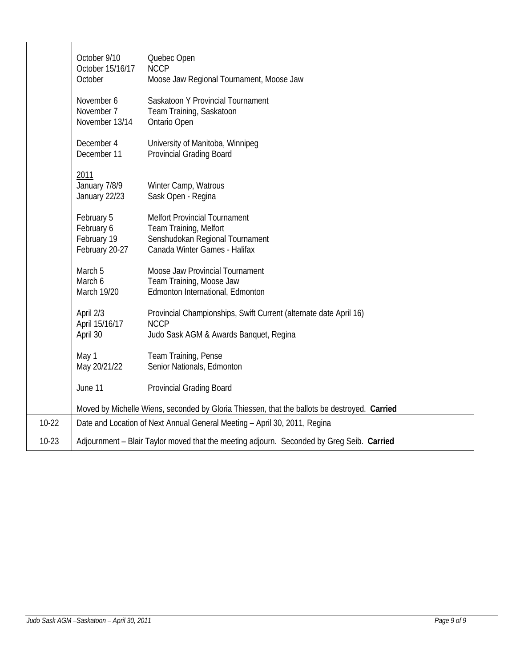|           | October 9/10<br>October 15/16/17<br>October                                                                                                                                                     | Quebec Open<br><b>NCCP</b><br>Moose Jaw Regional Tournament, Moose Jaw                                                     |  |  |  |
|-----------|-------------------------------------------------------------------------------------------------------------------------------------------------------------------------------------------------|----------------------------------------------------------------------------------------------------------------------------|--|--|--|
|           | November 6<br>November 7<br>November 13/14                                                                                                                                                      | Saskatoon Y Provincial Tournament<br>Team Training, Saskatoon<br>Ontario Open                                              |  |  |  |
|           | December 4<br>December 11                                                                                                                                                                       | University of Manitoba, Winnipeg<br><b>Provincial Grading Board</b>                                                        |  |  |  |
|           | 2011<br>January 7/8/9<br>January 22/23                                                                                                                                                          | Winter Camp, Watrous<br>Sask Open - Regina                                                                                 |  |  |  |
|           | February 5<br><b>Melfort Provincial Tournament</b><br>February 6<br>Team Training, Melfort<br>Senshudokan Regional Tournament<br>February 19<br>February 20-27<br>Canada Winter Games - Halifax |                                                                                                                            |  |  |  |
|           | March 5<br>March 6<br>March 19/20                                                                                                                                                               | Moose Jaw Provincial Tournament<br>Team Training, Moose Jaw<br>Edmonton International, Edmonton                            |  |  |  |
|           | April 2/3<br>April 15/16/17<br>April 30                                                                                                                                                         | Provincial Championships, Swift Current (alternate date April 16)<br><b>NCCP</b><br>Judo Sask AGM & Awards Banquet, Regina |  |  |  |
|           | Team Training, Pense<br>May 1<br>May 20/21/22<br>Senior Nationals, Edmonton                                                                                                                     |                                                                                                                            |  |  |  |
|           | June 11<br><b>Provincial Grading Board</b>                                                                                                                                                      |                                                                                                                            |  |  |  |
|           | Moved by Michelle Wiens, seconded by Gloria Thiessen, that the ballots be destroyed. Carried                                                                                                    |                                                                                                                            |  |  |  |
| $10-22$   |                                                                                                                                                                                                 | Date and Location of Next Annual General Meeting - April 30, 2011, Regina                                                  |  |  |  |
| $10 - 23$ | Adjournment - Blair Taylor moved that the meeting adjourn. Seconded by Greg Seib. Carried                                                                                                       |                                                                                                                            |  |  |  |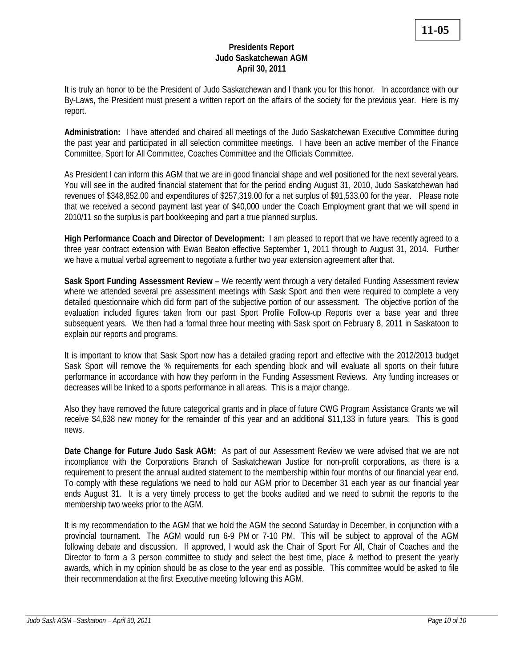## **Presidents Report Judo Saskatchewan AGM April 30, 2011**

It is truly an honor to be the President of Judo Saskatchewan and I thank you for this honor. In accordance with our By-Laws, the President must present a written report on the affairs of the society for the previous year. Here is my report.

**Administration:** I have attended and chaired all meetings of the Judo Saskatchewan Executive Committee during the past year and participated in all selection committee meetings. I have been an active member of the Finance Committee, Sport for All Committee, Coaches Committee and the Officials Committee.

As President I can inform this AGM that we are in good financial shape and well positioned for the next several years. You will see in the audited financial statement that for the period ending August 31, 2010, Judo Saskatchewan had revenues of \$348,852.00 and expenditures of \$257,319.00 for a net surplus of \$91,533.00 for the year. Please note that we received a second payment last year of \$40,000 under the Coach Employment grant that we will spend in 2010/11 so the surplus is part bookkeeping and part a true planned surplus.

**High Performance Coach and Director of Development:** I am pleased to report that we have recently agreed to a three year contract extension with Ewan Beaton effective September 1, 2011 through to August 31, 2014. Further we have a mutual verbal agreement to negotiate a further two year extension agreement after that.

**Sask Sport Funding Assessment Review** – We recently went through a very detailed Funding Assessment review where we attended several pre assessment meetings with Sask Sport and then were required to complete a very detailed questionnaire which did form part of the subjective portion of our assessment. The objective portion of the evaluation included figures taken from our past Sport Profile Follow-up Reports over a base year and three subsequent years. We then had a formal three hour meeting with Sask sport on February 8, 2011 in Saskatoon to explain our reports and programs.

It is important to know that Sask Sport now has a detailed grading report and effective with the 2012/2013 budget Sask Sport will remove the % requirements for each spending block and will evaluate all sports on their future performance in accordance with how they perform in the Funding Assessment Reviews. Any funding increases or decreases will be linked to a sports performance in all areas. This is a major change.

Also they have removed the future categorical grants and in place of future CWG Program Assistance Grants we will receive \$4,638 new money for the remainder of this year and an additional \$11,133 in future years. This is good news.

**Date Change for Future Judo Sask AGM:** As part of our Assessment Review we were advised that we are not incompliance with the Corporations Branch of Saskatchewan Justice for non-profit corporations, as there is a requirement to present the annual audited statement to the membership within four months of our financial year end. To comply with these regulations we need to hold our AGM prior to December 31 each year as our financial year ends August 31. It is a very timely process to get the books audited and we need to submit the reports to the membership two weeks prior to the AGM.

It is my recommendation to the AGM that we hold the AGM the second Saturday in December, in conjunction with a provincial tournament. The AGM would run 6-9 PM or 7-10 PM. This will be subject to approval of the AGM following debate and discussion. If approved, I would ask the Chair of Sport For All, Chair of Coaches and the Director to form a 3 person committee to study and select the best time, place & method to present the yearly awards, which in my opinion should be as close to the year end as possible. This committee would be asked to file their recommendation at the first Executive meeting following this AGM.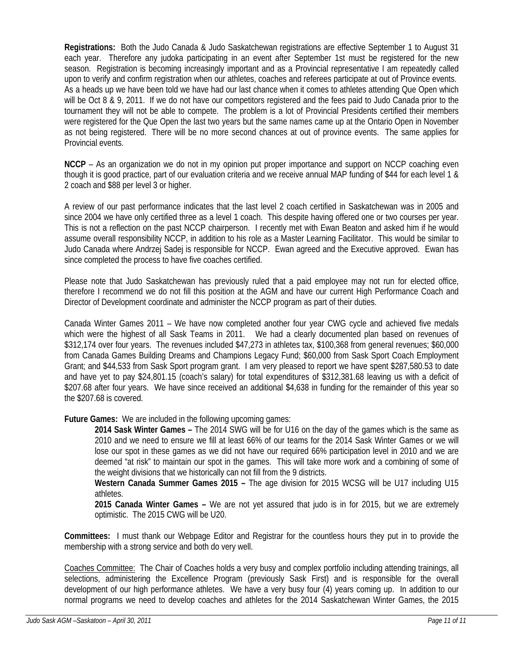**Registrations:** Both the Judo Canada & Judo Saskatchewan registrations are effective September 1 to August 31 each year.Therefore any judoka participating in an event after September 1st must be registered for the new season. Registration is becoming increasingly important and as a Provincial representative I am repeatedly called upon to verify and confirm registration when our athletes, coaches and referees participate at out of Province events. As a heads up we have been told we have had our last chance when it comes to athletes attending Que Open which will be Oct 8 & 9, 2011. If we do not have our competitors registered and the fees paid to Judo Canada prior to the tournament they will not be able to compete. The problem is a lot of Provincial Presidents certified their members were registered for the Que Open the last two years but the same names came up at the Ontario Open in November as not being registered. There will be no more second chances at out of province events. The same applies for Provincial events.

**NCCP** – As an organization we do not in my opinion put proper importance and support on NCCP coaching even though it is good practice, part of our evaluation criteria and we receive annual MAP funding of \$44 for each level 1 & 2 coach and \$88 per level 3 or higher.

A review of our past performance indicates that the last level 2 coach certified in Saskatchewan was in 2005 and since 2004 we have only certified three as a level 1 coach. This despite having offered one or two courses per year. This is not a reflection on the past NCCP chairperson. I recently met with Ewan Beaton and asked him if he would assume overall responsibility NCCP, in addition to his role as a Master Learning Facilitator. This would be similar to Judo Canada where Andrzej Sadej is responsible for NCCP. Ewan agreed and the Executive approved. Ewan has since completed the process to have five coaches certified.

Please note that Judo Saskatchewan has previously ruled that a paid employee may not run for elected office, therefore I recommend we do not fill this position at the AGM and have our current High Performance Coach and Director of Development coordinate and administer the NCCP program as part of their duties.

Canada Winter Games 2011 – We have now completed another four year CWG cycle and achieved five medals which were the highest of all Sask Teams in 2011. We had a clearly documented plan based on revenues of \$312,174 over four years. The revenues included \$47,273 in athletes tax, \$100,368 from general revenues; \$60,000 from Canada Games Building Dreams and Champions Legacy Fund; \$60,000 from Sask Sport Coach Employment Grant; and \$44,533 from Sask Sport program grant. I am very pleased to report we have spent \$287,580.53 to date and have yet to pay \$24,801.15 (coach's salary) for total expenditures of \$312,381.68 leaving us with a deficit of \$207.68 after four years. We have since received an additional \$4,638 in funding for the remainder of this year so the \$207.68 is covered.

**Future Games:** We are included in the following upcoming games:

**2014 Sask Winter Games –** The 2014 SWG will be for U16 on the day of the games which is the same as 2010 and we need to ensure we fill at least 66% of our teams for the 2014 Sask Winter Games or we will lose our spot in these games as we did not have our required 66% participation level in 2010 and we are deemed "at risk" to maintain our spot in the games. This will take more work and a combining of some of the weight divisions that we historically can not fill from the 9 districts.

**Western Canada Summer Games 2015 –** The age division for 2015 WCSG will be U17 including U15 athletes.

**2015 Canada Winter Games –** We are not yet assured that judo is in for 2015, but we are extremely optimistic. The 2015 CWG will be U20.

**Committees:** I must thank our Webpage Editor and Registrar for the countless hours they put in to provide the membership with a strong service and both do very well.

Coaches Committee: The Chair of Coaches holds a very busy and complex portfolio including attending trainings, all selections, administering the Excellence Program (previously Sask First) and is responsible for the overall development of our high performance athletes. We have a very busy four (4) years coming up. In addition to our normal programs we need to develop coaches and athletes for the 2014 Saskatchewan Winter Games, the 2015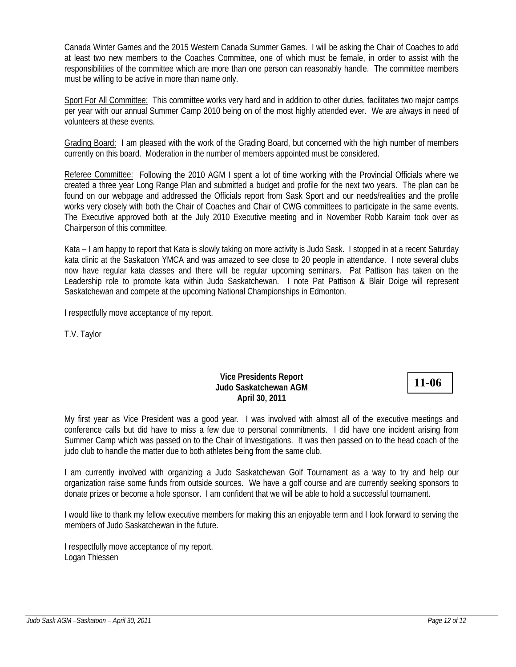Canada Winter Games and the 2015 Western Canada Summer Games. I will be asking the Chair of Coaches to add at least two new members to the Coaches Committee, one of which must be female, in order to assist with the responsibilities of the committee which are more than one person can reasonably handle. The committee members must be willing to be active in more than name only.

Sport For All Committee: This committee works very hard and in addition to other duties, facilitates two major camps per year with our annual Summer Camp 2010 being on of the most highly attended ever. We are always in need of volunteers at these events.

Grading Board: I am pleased with the work of the Grading Board, but concerned with the high number of members currently on this board. Moderation in the number of members appointed must be considered.

Referee Committee: Following the 2010 AGM I spent a lot of time working with the Provincial Officials where we created a three year Long Range Plan and submitted a budget and profile for the next two years. The plan can be found on our webpage and addressed the Officials report from Sask Sport and our needs/realities and the profile works very closely with both the Chair of Coaches and Chair of CWG committees to participate in the same events. The Executive approved both at the July 2010 Executive meeting and in November Robb Karaim took over as Chairperson of this committee.

Kata – I am happy to report that Kata is slowly taking on more activity is Judo Sask. I stopped in at a recent Saturday kata clinic at the Saskatoon YMCA and was amazed to see close to 20 people in attendance. I note several clubs now have regular kata classes and there will be regular upcoming seminars. Pat Pattison has taken on the Leadership role to promote kata within Judo Saskatchewan. I note Pat Pattison & Blair Doige will represent Saskatchewan and compete at the upcoming National Championships in Edmonton.

I respectfully move acceptance of my report.

T.V. Taylor

## **Vice Presidents Report Judo Saskatchewan AGM April 30, 2011**

**11-06**

My first year as Vice President was a good year. I was involved with almost all of the executive meetings and conference calls but did have to miss a few due to personal commitments. I did have one incident arising from Summer Camp which was passed on to the Chair of Investigations. It was then passed on to the head coach of the judo club to handle the matter due to both athletes being from the same club.

I am currently involved with organizing a Judo Saskatchewan Golf Tournament as a way to try and help our organization raise some funds from outside sources. We have a golf course and are currently seeking sponsors to donate prizes or become a hole sponsor. I am confident that we will be able to hold a successful tournament.

I would like to thank my fellow executive members for making this an enjoyable term and I look forward to serving the members of Judo Saskatchewan in the future.

I respectfully move acceptance of my report. Logan Thiessen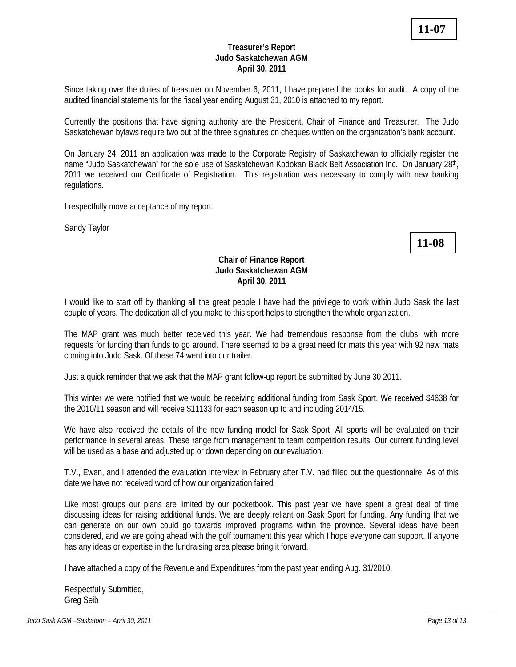## **Treasurer's Report Judo Saskatchewan AGM April 30, 2011**

Since taking over the duties of treasurer on November 6, 2011, I have prepared the books for audit. A copy of the audited financial statements for the fiscal year ending August 31, 2010 is attached to my report.

Currently the positions that have signing authority are the President, Chair of Finance and Treasurer. The Judo Saskatchewan bylaws require two out of the three signatures on cheques written on the organization's bank account.

On January 24, 2011 an application was made to the Corporate Registry of Saskatchewan to officially register the name "Judo Saskatchewan" for the sole use of Saskatchewan Kodokan Black Belt Association Inc. On January 28th, 2011 we received our Certificate of Registration. This registration was necessary to comply with new banking regulations.

I respectfully move acceptance of my report.

Sandy Taylor

**11-08**

## **Chair of Finance Report Judo Saskatchewan AGM April 30, 2011**

I would like to start off by thanking all the great people I have had the privilege to work within Judo Sask the last couple of years. The dedication all of you make to this sport helps to strengthen the whole organization.

The MAP grant was much better received this year. We had tremendous response from the clubs, with more requests for funding than funds to go around. There seemed to be a great need for mats this year with 92 new mats coming into Judo Sask. Of these 74 went into our trailer.

Just a quick reminder that we ask that the MAP grant follow-up report be submitted by June 30 2011.

This winter we were notified that we would be receiving additional funding from Sask Sport. We received \$4638 for the 2010/11 season and will receive \$11133 for each season up to and including 2014/15.

We have also received the details of the new funding model for Sask Sport. All sports will be evaluated on their performance in several areas. These range from management to team competition results. Our current funding level will be used as a base and adjusted up or down depending on our evaluation.

T.V., Ewan, and I attended the evaluation interview in February after T.V. had filled out the questionnaire. As of this date we have not received word of how our organization faired.

Like most groups our plans are limited by our pocketbook. This past year we have spent a great deal of time discussing ideas for raising additional funds. We are deeply reliant on Sask Sport for funding. Any funding that we can generate on our own could go towards improved programs within the province. Several ideas have been considered, and we are going ahead with the golf tournament this year which I hope everyone can support. If anyone has any ideas or expertise in the fundraising area please bring it forward.

I have attached a copy of the Revenue and Expenditures from the past year ending Aug. 31/2010.

Respectfully Submitted, Greg Seib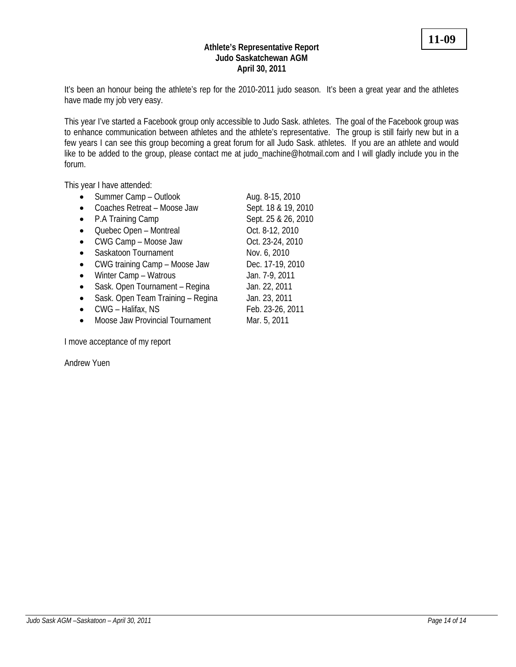#### **Athlete's Representative Report Judo Saskatchewan AGM April 30, 2011**

It's been an honour being the athlete's rep for the 2010-2011 judo season. It's been a great year and the athletes have made my job very easy.

This year I've started a Facebook group only accessible to Judo Sask. athletes. The goal of the Facebook group was to enhance communication between athletes and the athlete's representative. The group is still fairly new but in a few years I can see this group becoming a great forum for all Judo Sask. athletes. If you are an athlete and would like to be added to the group, please contact me at judo\_machine@hotmail.com and I will gladly include you in the forum.

This year I have attended:

| Summer Camp - Outlook             | Aug. 8-15, 2010     |
|-----------------------------------|---------------------|
| Coaches Retreat - Moose Jaw       | Sept. 18 & 19, 2010 |
| P.A Training Camp                 | Sept. 25 & 26, 2010 |
| Quebec Open - Montreal            | Oct. 8-12, 2010     |
| CWG Camp - Moose Jaw              | Oct. 23-24, 2010    |
| Saskatoon Tournament              | Nov. 6, 2010        |
| CWG training Camp - Moose Jaw     | Dec. 17-19, 2010    |
| Winter Camp - Watrous             | Jan. 7-9, 2011      |
| Sask. Open Tournament - Regina    | Jan. 22, 2011       |
| Sask. Open Team Training - Regina | Jan. 23, 2011       |
| CWG - Halifax, NS                 | Feb. 23-26, 2011    |
| Moose Jaw Provincial Tournament   | Mar. 5, 2011        |

I move acceptance of my report

Andrew Yuen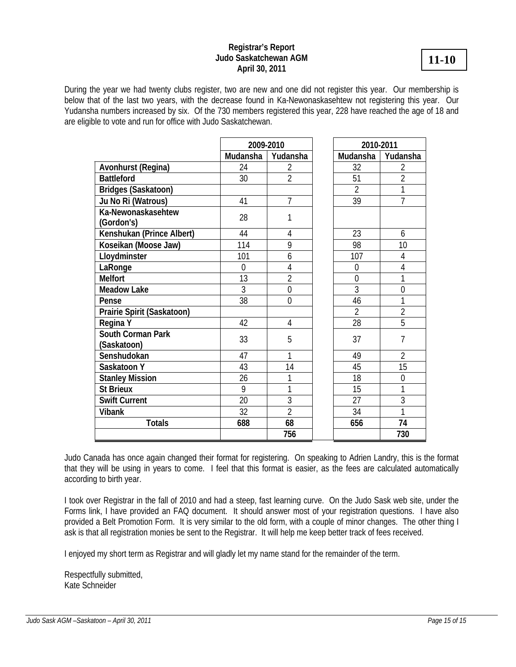## **Registrar's Report Judo Saskatchewan AGM April 30, 2011**

During the year we had twenty clubs register, two are new and one did not register this year. Our membership is below that of the last two years, with the decrease found in Ka-Newonaskasehtew not registering this year. Our Yudansha numbers increased by six. Of the 730 members registered this year, 228 have reached the age of 18 and are eligible to vote and run for office with Judo Saskatchewan.

|                                  | 2009-2010    |                | 2010-2011      |                |
|----------------------------------|--------------|----------------|----------------|----------------|
|                                  | Mudansha     | Yudansha       | Mudansha       | Yudansha       |
| Avonhurst (Regina)               | 24           | 2              | 32             | 2              |
| <b>Battleford</b>                | 30           | $\overline{2}$ | 51             | $\overline{2}$ |
| <b>Bridges (Saskatoon)</b>       |              |                | $\overline{2}$ | 1              |
| Ju No Ri (Watrous)               | 41           | 7              | 39             | 7              |
| Ka-Newonaskasehtew<br>(Gordon's) | 28           | 1              |                |                |
| Kenshukan (Prince Albert)        | 44           | $\overline{4}$ | 23             | 6              |
| Koseikan (Moose Jaw)             | 114          | 9              | 98             | 10             |
| Lloydminster                     | 101          | 6              | 107            | $\overline{4}$ |
| LaRonge                          | $\mathbf{0}$ | $\overline{4}$ | $\overline{0}$ | $\overline{4}$ |
| <b>Melfort</b>                   | 13           | $\overline{2}$ | $\overline{0}$ | 1              |
| <b>Meadow Lake</b>               | 3            | $\overline{0}$ | 3              | $\overline{0}$ |
| Pense                            | 38           | $\theta$       | 46             | 1              |
| Prairie Spirit (Saskatoon)       |              |                | $\overline{2}$ | $\overline{2}$ |
| Regina Y                         | 42           | $\overline{4}$ | 28             | 5              |
| South Corman Park<br>(Saskatoon) | 33           | 5              | 37             | $\overline{1}$ |
| Senshudokan                      | 47           | 1              | 49             | $\overline{2}$ |
| Saskatoon Y                      | 43           | 14             | 45             | 15             |
| <b>Stanley Mission</b>           | 26           | 1              | 18             | $\mathbf{0}$   |
| <b>St Brieux</b>                 | 9            | 1              | 15             | 1              |
| <b>Swift Current</b>             | 20           | 3              | 27             | $\overline{3}$ |
| <b>Vibank</b>                    | 32           | $\overline{2}$ | 34             | 1              |
| <b>Totals</b>                    | 688          | 68             | 656            | 74             |
|                                  |              | 756            |                | 730            |

Judo Canada has once again changed their format for registering. On speaking to Adrien Landry, this is the format that they will be using in years to come. I feel that this format is easier, as the fees are calculated automatically according to birth year.

I took over Registrar in the fall of 2010 and had a steep, fast learning curve. On the Judo Sask web site, under the Forms link, I have provided an FAQ document. It should answer most of your registration questions. I have also provided a Belt Promotion Form. It is very similar to the old form, with a couple of minor changes. The other thing I ask is that all registration monies be sent to the Registrar. It will help me keep better track of fees received.

I enjoyed my short term as Registrar and will gladly let my name stand for the remainder of the term.

Respectfully submitted, Kate Schneider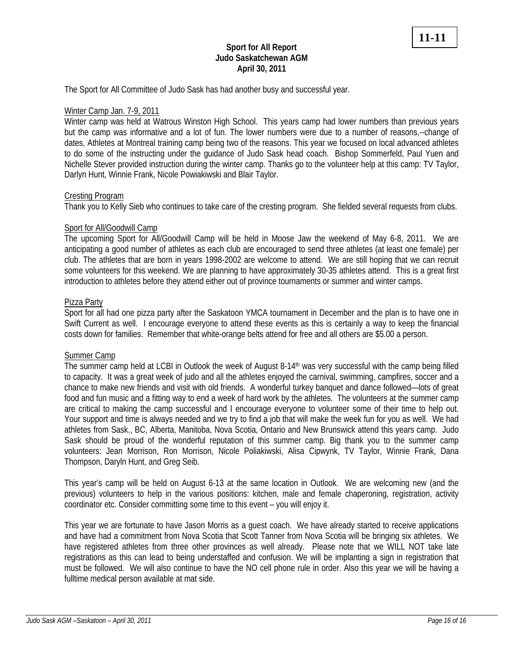## **Sport for All Report Judo Saskatchewan AGM April 30, 2011**

The Sport for All Committee of Judo Sask has had another busy and successful year.

## Winter Camp Jan. 7-9, 2011

Winter camp was held at Watrous Winston High School. This years camp had lower numbers than previous years but the camp was informative and a lot of fun. The lower numbers were due to a number of reasons,--change of dates, Athletes at Montreal training camp being two of the reasons. This year we focused on local advanced athletes to do some of the instructing under the guidance of Judo Sask head coach. Bishop Sommerfeld, Paul Yuen and Nichelle Stever provided instruction during the winter camp. Thanks go to the volunteer help at this camp: TV Taylor, Darlyn Hunt, Winnie Frank, Nicole Powiakiwski and Blair Taylor.

#### Cresting Program

Thank you to Kelly Sieb who continues to take care of the cresting program. She fielded several requests from clubs.

#### Sport for All/Goodwill Camp

The upcoming Sport for All/Goodwill Camp will be held in Moose Jaw the weekend of May 6-8, 2011. We are anticipating a good number of athletes as each club are encouraged to send three athletes (at least one female) per club. The athletes that are born in years 1998-2002 are welcome to attend. We are still hoping that we can recruit some volunteers for this weekend. We are planning to have approximately 30-35 athletes attend. This is a great first introduction to athletes before they attend either out of province tournaments or summer and winter camps.

#### Pizza Party

Sport for all had one pizza party after the Saskatoon YMCA tournament in December and the plan is to have one in Swift Current as well. I encourage everyone to attend these events as this is certainly a way to keep the financial costs down for families. Remember that white-orange belts attend for free and all others are \$5.00 a person.

#### Summer Camp

The summer camp held at LCBI in Outlook the week of August 8-14<sup>th</sup> was very successful with the camp being filled to capacity. It was a great week of judo and all the athletes enjoyed the carnival, swimming, campfires, soccer and a chance to make new friends and visit with old friends. A wonderful turkey banquet and dance followed—lots of great food and fun music and a fitting way to end a week of hard work by the athletes. The volunteers at the summer camp are critical to making the camp successful and I encourage everyone to volunteer some of their time to help out. Your support and time is always needed and we try to find a job that will make the week fun for you as well. We had athletes from Sask., BC, Alberta, Manitoba, Nova Scotia, Ontario and New Brunswick attend this years camp. Judo Sask should be proud of the wonderful reputation of this summer camp. Big thank you to the summer camp volunteers: Jean Morrison, Ron Morrison, Nicole Poliakiwski, Alisa Cipwynk, TV Taylor, Winnie Frank, Dana Thompson, Daryln Hunt, and Greg Seib.

This year's camp will be held on August 6-13 at the same location in Outlook. We are welcoming new (and the previous) volunteers to help in the various positions: kitchen, male and female chaperoning, registration, activity coordinator etc. Consider committing some time to this event – you will enjoy it.

This year we are fortunate to have Jason Morris as a guest coach. We have already started to receive applications and have had a commitment from Nova Scotia that Scott Tanner from Nova Scotia will be bringing six athletes. We have registered athletes from three other provinces as well already. Please note that we WILL NOT take late registrations as this can lead to being understaffed and confusion. We will be implanting a sign in registration that must be followed. We will also continue to have the NO cell phone rule in order. Also this year we will be having a fulltime medical person available at mat side.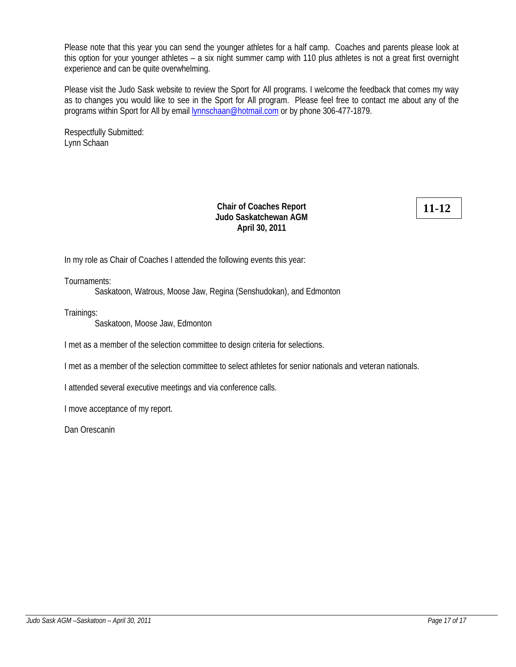Please note that this year you can send the younger athletes for a half camp. Coaches and parents please look at this option for your younger athletes – a six night summer camp with 110 plus athletes is not a great first overnight experience and can be quite overwhelming.

Please visit the Judo Sask website to review the Sport for All programs. I welcome the feedback that comes my way as to changes you would like to see in the Sport for All program. Please feel free to contact me about any of the programs within Sport for All by email **lynnschaan@hotmail.com** or by phone 306-477-1879.

Respectfully Submitted: Lynn Schaan

## **Chair of Coaches Report Judo Saskatchewan AGM April 30, 2011**

# **11-12**

In my role as Chair of Coaches I attended the following events this year:

Tournaments:

Saskatoon, Watrous, Moose Jaw, Regina (Senshudokan), and Edmonton

Trainings:

Saskatoon, Moose Jaw, Edmonton

I met as a member of the selection committee to design criteria for selections.

I met as a member of the selection committee to select athletes for senior nationals and veteran nationals.

I attended several executive meetings and via conference calls.

I move acceptance of my report.

Dan Orescanin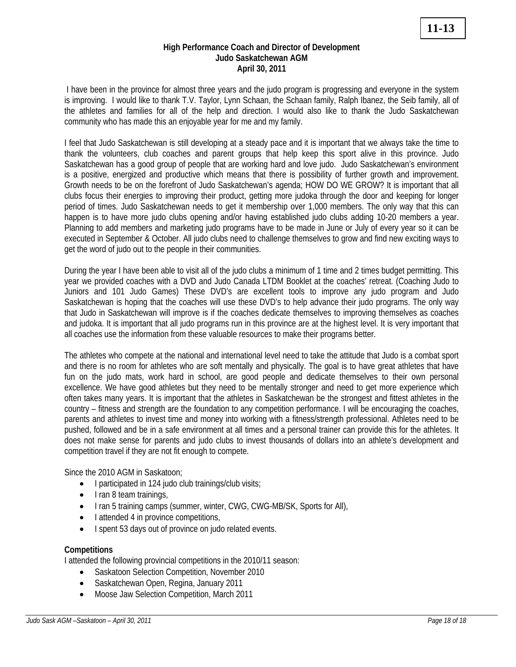### **High Performance Coach and Director of Development Judo Saskatchewan AGM April 30, 2011**

 I have been in the province for almost three years and the judo program is progressing and everyone in the system is improving. I would like to thank T.V. Taylor, Lynn Schaan, the Schaan family, Ralph Ibanez, the Seib family, all of the athletes and families for all of the help and direction. I would also like to thank the Judo Saskatchewan community who has made this an enjoyable year for me and my family.

I feel that Judo Saskatchewan is still developing at a steady pace and it is important that we always take the time to thank the volunteers, club coaches and parent groups that help keep this sport alive in this province. Judo Saskatchewan has a good group of people that are working hard and love judo. Judo Saskatchewan's environment is a positive, energized and productive which means that there is possibility of further growth and improvement. Growth needs to be on the forefront of Judo Saskatchewan's agenda; HOW DO WE GROW? It is important that all clubs focus their energies to improving their product, getting more judoka through the door and keeping for longer period of times. Judo Saskatchewan needs to get it membership over 1,000 members. The only way that this can happen is to have more judo clubs opening and/or having established judo clubs adding 10-20 members a year. Planning to add members and marketing judo programs have to be made in June or July of every year so it can be executed in September & October. All judo clubs need to challenge themselves to grow and find new exciting ways to get the word of judo out to the people in their communities.

During the year I have been able to visit all of the judo clubs a minimum of 1 time and 2 times budget permitting. This year we provided coaches with a DVD and Judo Canada LTDM Booklet at the coaches' retreat. (Coaching Judo to Juniors and 101 Judo Games) These DVD's are excellent tools to improve any judo program and Judo Saskatchewan is hoping that the coaches will use these DVD's to help advance their judo programs. The only way that Judo in Saskatchewan will improve is if the coaches dedicate themselves to improving themselves as coaches and judoka. It is important that all judo programs run in this province are at the highest level. It is very important that all coaches use the information from these valuable resources to make their programs better.

The athletes who compete at the national and international level need to take the attitude that Judo is a combat sport and there is no room for athletes who are soft mentally and physically. The goal is to have great athletes that have fun on the judo mats, work hard in school, are good people and dedicate themselves to their own personal excellence. We have good athletes but they need to be mentally stronger and need to get more experience which often takes many years. It is important that the athletes in Saskatchewan be the strongest and fittest athletes in the country – fitness and strength are the foundation to any competition performance. I will be encouraging the coaches, parents and athletes to invest time and money into working with a fitness/strength professional. Athletes need to be pushed, followed and be in a safe environment at all times and a personal trainer can provide this for the athletes. It does not make sense for parents and judo clubs to invest thousands of dollars into an athlete's development and competition travel if they are not fit enough to compete.

Since the 2010 AGM in Saskatoon;

- I participated in 124 judo club trainings/club visits;
- I ran 8 team trainings,
- I ran 5 training camps (summer, winter, CWG, CWG-MB/SK, Sports for All),
- I attended 4 in province competitions,
- I spent 53 days out of province on judo related events.

## **Competitions**

I attended the following provincial competitions in the 2010/11 season:

- Saskatoon Selection Competition, November 2010
- Saskatchewan Open, Regina, January 2011
- Moose Jaw Selection Competition, March 2011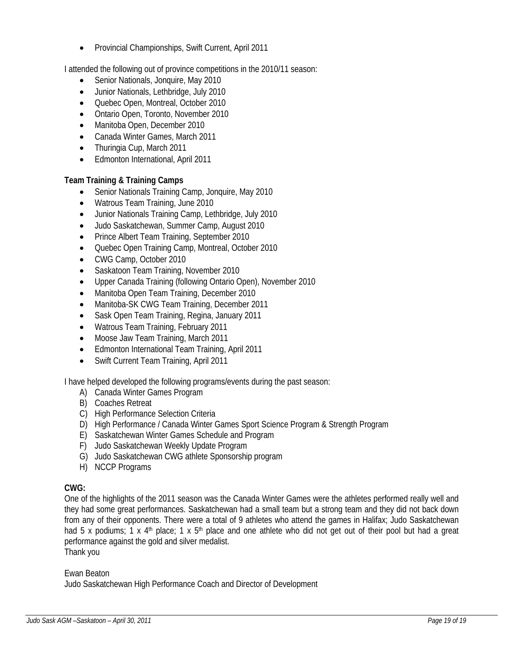• Provincial Championships, Swift Current, April 2011

I attended the following out of province competitions in the 2010/11 season:

- Senior Nationals, Jonquire, May 2010
- Junior Nationals, Lethbridge, July 2010
- Quebec Open, Montreal, October 2010
- Ontario Open, Toronto, November 2010
- Manitoba Open, December 2010
- Canada Winter Games, March 2011
- Thuringia Cup, March 2011
- Edmonton International, April 2011

## **Team Training & Training Camps**

- Senior Nationals Training Camp, Jonquire, May 2010
- Watrous Team Training, June 2010
- Junior Nationals Training Camp, Lethbridge, July 2010
- Judo Saskatchewan, Summer Camp, August 2010
- Prince Albert Team Training, September 2010
- Quebec Open Training Camp, Montreal, October 2010
- CWG Camp, October 2010
- Saskatoon Team Training, November 2010
- Upper Canada Training (following Ontario Open), November 2010
- Manitoba Open Team Training, December 2010
- Manitoba-SK CWG Team Training, December 2011
- Sask Open Team Training, Regina, January 2011
- Watrous Team Training, February 2011
- Moose Jaw Team Training, March 2011
- Edmonton International Team Training, April 2011
- Swift Current Team Training, April 2011

I have helped developed the following programs/events during the past season:

- A) Canada Winter Games Program
- B) Coaches Retreat
- C) High Performance Selection Criteria
- D) High Performance / Canada Winter Games Sport Science Program & Strength Program
- E) Saskatchewan Winter Games Schedule and Program
- F) Judo Saskatchewan Weekly Update Program
- G) Judo Saskatchewan CWG athlete Sponsorship program
- H) NCCP Programs

## **CWG:**

One of the highlights of the 2011 season was the Canada Winter Games were the athletes performed really well and they had some great performances. Saskatchewan had a small team but a strong team and they did not back down from any of their opponents. There were a total of 9 athletes who attend the games in Halifax; Judo Saskatchewan had 5 x podiums; 1 x 4<sup>th</sup> place; 1 x 5<sup>th</sup> place and one athlete who did not get out of their pool but had a great performance against the gold and silver medalist.

Thank you

Ewan Beaton

Judo Saskatchewan High Performance Coach and Director of Development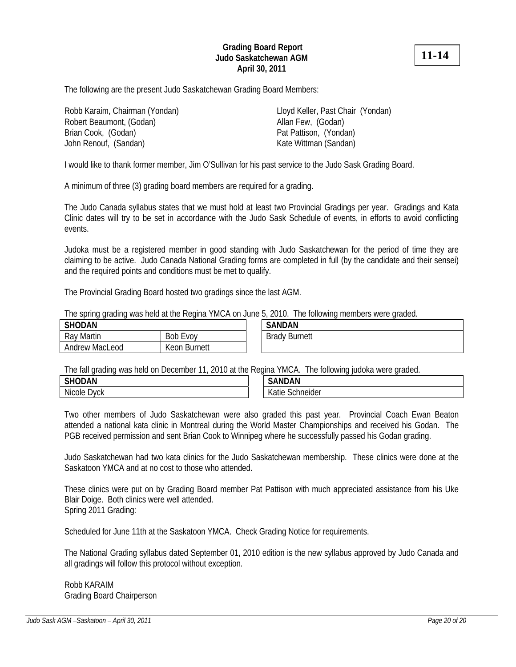## **Grading Board Report Judo Saskatchewan AGM April 30, 2011**

**11-14**

The following are the present Judo Saskatchewan Grading Board Members:

Robb Karaim, Chairman (Yondan) Lloyd Keller, Past Chair (Yondan) Robert Beaumont, (Godan) Allan Few, (Godan) Brian Cook, (Godan) **Pat Pattison, (Yondan)** John Renouf, (Sandan) Kate Wittman (Sandan)

I would like to thank former member, Jim O'Sullivan for his past service to the Judo Sask Grading Board.

A minimum of three (3) grading board members are required for a grading.

The Judo Canada syllabus states that we must hold at least two Provincial Gradings per year. Gradings and Kata Clinic dates will try to be set in accordance with the Judo Sask Schedule of events, in efforts to avoid conflicting events.

Judoka must be a registered member in good standing with Judo Saskatchewan for the period of time they are claiming to be active. Judo Canada National Grading forms are completed in full (by the candidate and their sensei) and the required points and conditions must be met to qualify.

The Provincial Grading Board hosted two gradings since the last AGM.

The spring grading was held at the Regina YMCA on June 5, 2010. The following members were graded.

| <b>SHODAN</b>  |              |  | <b>SANDAN</b>        |
|----------------|--------------|--|----------------------|
| Ray Martin     | Bob<br>EVOV  |  | <b>Brady Burnett</b> |
| Andrew MacLeod | Keon Burnett |  |                      |

The fall grading was held on December 11, 2010 at the Regina YMCA. The following judoka were graded.

| <b>SHODAN</b><br>◡<br>י ור                      | .<br>. .<br>.                   |
|-------------------------------------------------|---------------------------------|
| <b>A</b> 11<br><b>Nicole</b><br>wck<br>γ∪N<br>- | $\sim$ iolor<br>Ш<br>eluei<br>w |

Two other members of Judo Saskatchewan were also graded this past year. Provincial Coach Ewan Beaton attended a national kata clinic in Montreal during the World Master Championships and received his Godan. The PGB received permission and sent Brian Cook to Winnipeg where he successfully passed his Godan grading.

Judo Saskatchewan had two kata clinics for the Judo Saskatchewan membership. These clinics were done at the Saskatoon YMCA and at no cost to those who attended.

These clinics were put on by Grading Board member Pat Pattison with much appreciated assistance from his Uke Blair Doige. Both clinics were well attended. Spring 2011 Grading:

Scheduled for June 11th at the Saskatoon YMCA. Check Grading Notice for requirements.

The National Grading syllabus dated September 01, 2010 edition is the new syllabus approved by Judo Canada and all gradings will follow this protocol without exception.

Robb KARAIM Grading Board Chairperson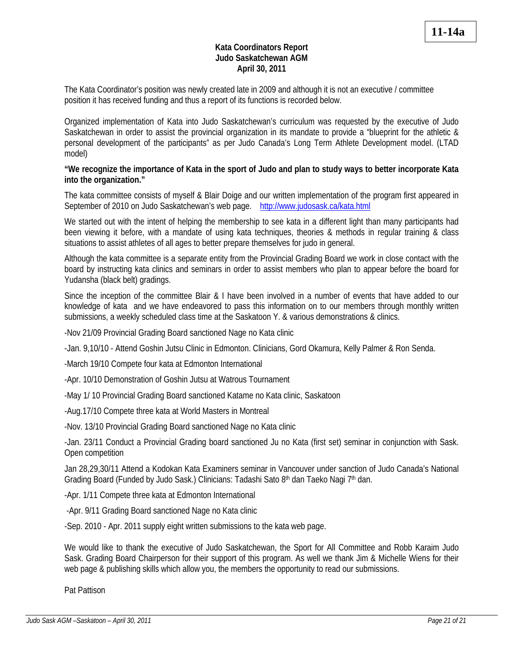## **Kata Coordinators Report Judo Saskatchewan AGM April 30, 2011**

The Kata Coordinator's position was newly created late in 2009 and although it is not an executive / committee position it has received funding and thus a report of its functions is recorded below.

Organized implementation of Kata into Judo Saskatchewan's curriculum was requested by the executive of Judo Saskatchewan in order to assist the provincial organization in its mandate to provide a "blueprint for the athletic & personal development of the participants" as per Judo Canada's Long Term Athlete Development model. (LTAD model)

## **"We recognize the importance of Kata in the sport of Judo and plan to study ways to better incorporate Kata into the organization."**

The kata committee consists of myself & Blair Doige and our written implementation of the program first appeared in September of 2010 on Judo Saskatchewan's web page. http://www.judosask.ca/kata.html

We started out with the intent of helping the membership to see kata in a different light than many participants had been viewing it before, with a mandate of using kata techniques, theories & methods in regular training & class situations to assist athletes of all ages to better prepare themselves for judo in general.

Although the kata committee is a separate entity from the Provincial Grading Board we work in close contact with the board by instructing kata clinics and seminars in order to assist members who plan to appear before the board for Yudansha (black belt) gradings.

Since the inception of the committee Blair & I have been involved in a number of events that have added to our knowledge of kata and we have endeavored to pass this information on to our members through monthly written submissions, a weekly scheduled class time at the Saskatoon Y. & various demonstrations & clinics.

-Nov 21/09 Provincial Grading Board sanctioned Nage no Kata clinic

-Jan. 9,10/10 - Attend Goshin Jutsu Clinic in Edmonton. Clinicians, Gord Okamura, Kelly Palmer & Ron Senda.

-March 19/10 Compete four kata at Edmonton International

-Apr. 10/10 Demonstration of Goshin Jutsu at Watrous Tournament

-May 1/ 10 Provincial Grading Board sanctioned Katame no Kata clinic, Saskatoon

-Aug.17/10 Compete three kata at World Masters in Montreal

-Nov. 13/10 Provincial Grading Board sanctioned Nage no Kata clinic

-Jan. 23/11 Conduct a Provincial Grading board sanctioned Ju no Kata (first set) seminar in conjunction with Sask. Open competition

Jan 28,29,30/11 Attend a Kodokan Kata Examiners seminar in Vancouver under sanction of Judo Canada's National Grading Board (Funded by Judo Sask.) Clinicians: Tadashi Sato 8th dan Taeko Nagi 7th dan.

-Apr. 1/11 Compete three kata at Edmonton International

-Apr. 9/11 Grading Board sanctioned Nage no Kata clinic

-Sep. 2010 - Apr. 2011 supply eight written submissions to the kata web page.

We would like to thank the executive of Judo Saskatchewan, the Sport for All Committee and Robb Karaim Judo Sask. Grading Board Chairperson for their support of this program. As well we thank Jim & Michelle Wiens for their web page & publishing skills which allow you, the members the opportunity to read our submissions.

Pat Pattison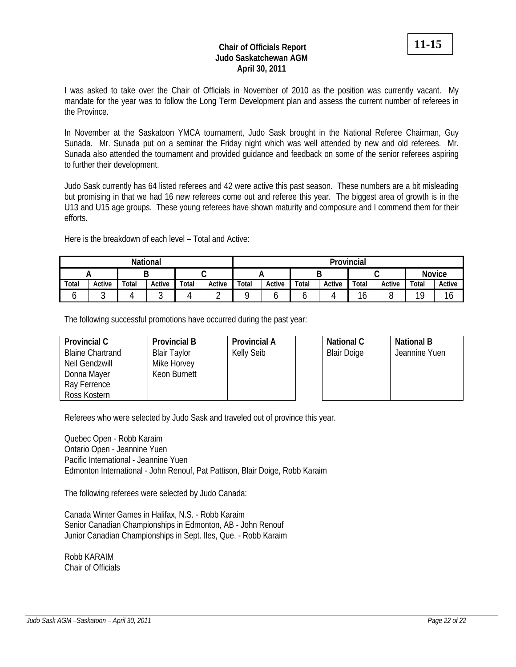## **Chair of Officials Report Judo Saskatchewan AGM April 30, 2011**

In November at the Saskatoon YMCA tournament, Judo Sask brought in the National Referee Chairman, Guy Sunada. Mr. Sunada put on a seminar the Friday night which was well attended by new and old referees. Mr. Sunada also attended the tournament and provided guidance and feedback on some of the senior referees aspiring to further their development.

Judo Sask currently has 64 listed referees and 42 were active this past season. These numbers are a bit misleading but promising in that we had 16 new referees come out and referee this year. The biggest area of growth is in the U13 and U15 age groups. These young referees have shown maturity and composure and I commend them for their efforts.

Here is the breakdown of each level – Total and Active:

|       |        |       | <b>National</b> |       |        |       | Provincial |       |        |        |        |               |        |  |  |  |  |  |
|-------|--------|-------|-----------------|-------|--------|-------|------------|-------|--------|--------|--------|---------------|--------|--|--|--|--|--|
|       |        |       |                 |       |        |       |            |       |        |        |        | <b>Novice</b> |        |  |  |  |  |  |
| Total | Active | Total | Active          | Total | Active | Total | Active     | Total | Active | Total  | Active | Total         | Active |  |  |  |  |  |
|       |        |       | ັ               |       |        |       |            |       |        | ◢<br>O |        | 10            | 16     |  |  |  |  |  |

The following successful promotions have occurred during the past year:

| <b>Provincial C</b>     | <b>Provincial B</b> | <b>Provincial A</b> | National C         | <b>National B</b> |
|-------------------------|---------------------|---------------------|--------------------|-------------------|
| <b>Blaine Chartrand</b> | <b>Blair Taylor</b> | <b>Kelly Seib</b>   | <b>Blair Doige</b> | Jeannine Yuen     |
| Neil Gendzwill          | Mike Horvey         |                     |                    |                   |
| Donna Mayer             | Keon Burnett        |                     |                    |                   |
| Ray Ferrence            |                     |                     |                    |                   |
| Ross Kostern            |                     |                     |                    |                   |

Referees who were selected by Judo Sask and traveled out of province this year.

Quebec Open - Robb Karaim Ontario Open - Jeannine Yuen Pacific International - Jeannine Yuen Edmonton International - John Renouf, Pat Pattison, Blair Doige, Robb Karaim

The following referees were selected by Judo Canada:

Canada Winter Games in Halifax, N.S. - Robb Karaim Senior Canadian Championships in Edmonton, AB - John Renouf Junior Canadian Championships in Sept. Iles, Que. - Robb Karaim

Robb KARAIM Chair of Officials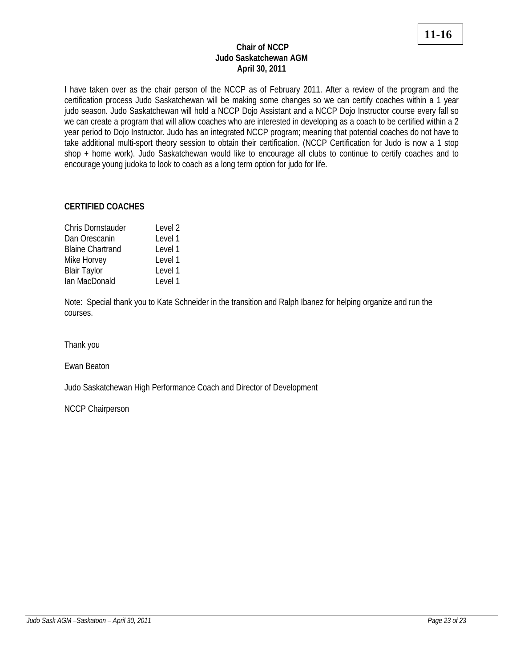# **11-16**

## **Chair of NCCP Judo Saskatchewan AGM April 30, 2011**

I have taken over as the chair person of the NCCP as of February 2011. After a review of the program and the certification process Judo Saskatchewan will be making some changes so we can certify coaches within a 1 year judo season. Judo Saskatchewan will hold a NCCP Dojo Assistant and a NCCP Dojo Instructor course every fall so we can create a program that will allow coaches who are interested in developing as a coach to be certified within a 2 year period to Dojo Instructor. Judo has an integrated NCCP program; meaning that potential coaches do not have to take additional multi-sport theory session to obtain their certification. (NCCP Certification for Judo is now a 1 stop shop + home work). Judo Saskatchewan would like to encourage all clubs to continue to certify coaches and to encourage young judoka to look to coach as a long term option for judo for life.

# **CERTIFIED COACHES**

| Chris Dornstauder       | Level 2 |
|-------------------------|---------|
| Dan Orescanin           | Level 1 |
| <b>Blaine Chartrand</b> | Level 1 |
| Mike Horvey             | Level 1 |
| <b>Blair Taylor</b>     | Level 1 |
| Ian MacDonald           | Level 1 |

Note: Special thank you to Kate Schneider in the transition and Ralph Ibanez for helping organize and run the courses.

Thank you

Ewan Beaton

Judo Saskatchewan High Performance Coach and Director of Development

NCCP Chairperson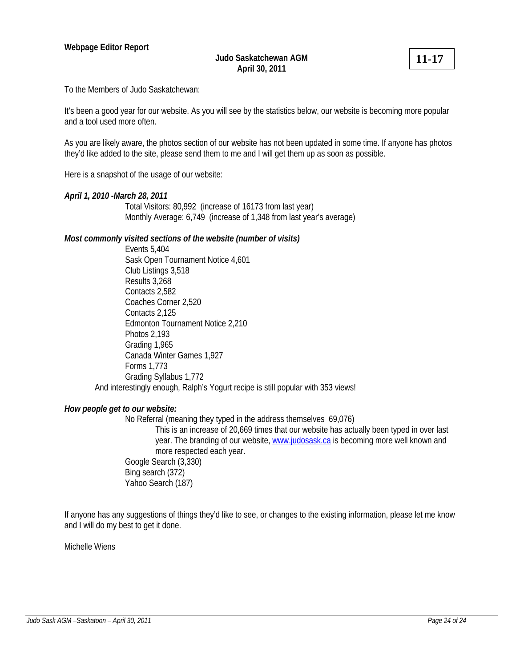**11-17**

To the Members of Judo Saskatchewan:

It's been a good year for our website. As you will see by the statistics below, our website is becoming more popular and a tool used more often.

As you are likely aware, the photos section of our website has not been updated in some time. If anyone has photos they'd like added to the site, please send them to me and I will get them up as soon as possible.

Here is a snapshot of the usage of our website:

#### *April 1, 2010 -March 28, 2011*

Total Visitors: 80,992 (increase of 16173 from last year) Monthly Average: 6,749 (increase of 1,348 from last year's average)

#### *Most commonly visited sections of the website (number of visits)*

 Events 5,404 Sask Open Tournament Notice 4,601 Club Listings 3,518 Results 3,268 Contacts 2,582 Coaches Corner 2,520 Contacts 2,125 Edmonton Tournament Notice 2,210 Photos 2,193 Grading 1,965 Canada Winter Games 1,927 Forms 1,773 Grading Syllabus 1,772 And interestingly enough, Ralph's Yogurt recipe is still popular with 353 views!

#### *How people get to our website:*

No Referral (meaning they typed in the address themselves 69,076)

This is an increase of 20,669 times that our website has actually been typed in over last year. The branding of our website, www.judosask.ca is becoming more well known and more respected each year. Google Search (3,330)

 Bing search (372) Yahoo Search (187)

If anyone has any suggestions of things they'd like to see, or changes to the existing information, please let me know and I will do my best to get it done.

Michelle Wiens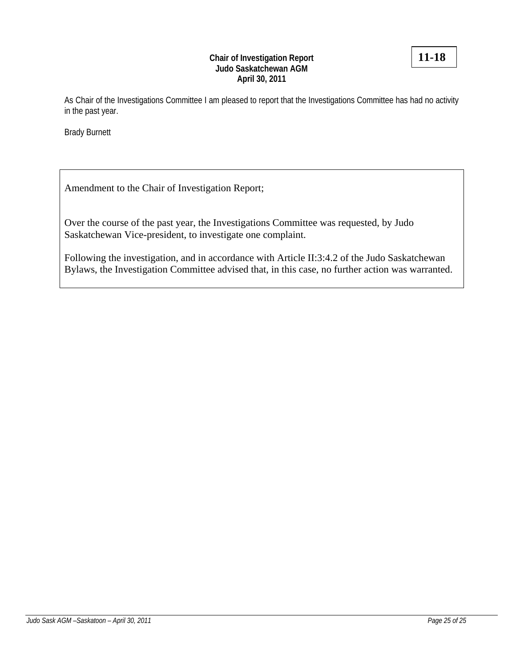## **Chair of Investigation Report Judo Saskatchewan AGM April 30, 2011**

As Chair of the Investigations Committee I am pleased to report that the Investigations Committee has had no activity in the past year.

Brady Burnett

Amendment to the Chair of Investigation Report;

Over the course of the past year, the Investigations Committee was requested, by Judo Saskatchewan Vice-president, to investigate one complaint.

Following the investigation, and in accordance with Article II:3:4.2 of the Judo Saskatchewan Bylaws, the Investigation Committee advised that, in this case, no further action was warranted.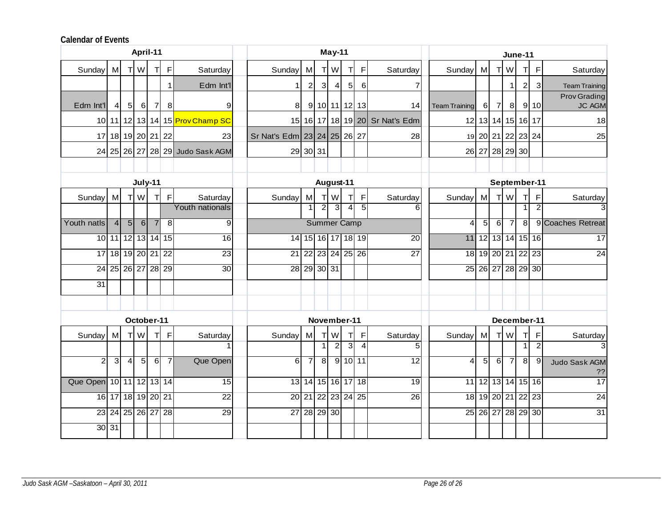#### **Calendar of Events**

|                         |                |                |                | April-11          |                   |                                 |  |                             |                |                | May-11             |                |                   |                                | <b>June-11</b>       |                |                |                |                         |                   |                                      |  |  |
|-------------------------|----------------|----------------|----------------|-------------------|-------------------|---------------------------------|--|-----------------------------|----------------|----------------|--------------------|----------------|-------------------|--------------------------------|----------------------|----------------|----------------|----------------|-------------------------|-------------------|--------------------------------------|--|--|
| Sunday                  | M              |                | T W            | T                 | $\mathsf F$       | Saturday                        |  | Sunday                      | M              |                | T W                | T              | $\mathsf{F}$      | Saturday                       | Sunday M             |                |                | T W            | Π                       | $\mathsf F$       | Saturday                             |  |  |
|                         |                |                |                |                   | $\mathbf{1}$      | Edm Int'l                       |  |                             | $\overline{a}$ | $\mathbf{3}$   | $\overline{4}$     | 5 <sub>l</sub> | 6                 | 7                              |                      |                |                |                | $\overline{\mathbf{c}}$ | 3                 | <b>Team Training</b>                 |  |  |
| Edm Int'l               | 41             | 5 <sup>1</sup> | $6 \mid$       | $\overline{7}$    | 8                 | 9                               |  |                             |                |                |                    |                | 8 9 10 11 12 13   | 14                             | <b>Team Training</b> | $6 \mid$       | $\overline{7}$ | 8              |                         | 9 10              | <b>Prov Grading</b><br><b>JC AGM</b> |  |  |
|                         |                |                |                |                   |                   | 10 11 12 13 14 15 Prov Champ SC |  |                             |                |                |                    |                |                   | 15 16 17 18 19 20 Sr Nat's Edm |                      |                |                |                | 12 13 14 15 16 17       |                   | 18                                   |  |  |
|                         |                |                |                |                   | 17 18 19 20 21 22 | 23                              |  | Sr Nat's Edm 23 24 25 26 27 |                |                |                    |                |                   | 28                             |                      |                |                |                | 19 20 21 22 23 24       |                   | 25                                   |  |  |
|                         |                |                |                |                   |                   | 24 25 26 27 28 29 Judo Sask AGM |  |                             | 29 30 31       |                |                    |                |                   |                                |                      |                |                |                | 26 27 28 29 30          |                   |                                      |  |  |
|                         |                |                |                |                   |                   |                                 |  |                             |                |                |                    |                |                   |                                |                      |                |                |                |                         |                   |                                      |  |  |
|                         |                |                |                | July-11           |                   |                                 |  |                             |                |                | August-11          |                |                   |                                |                      |                |                |                |                         | September-11      |                                      |  |  |
| Sunday                  | M              |                | T W            | T                 | $\mathsf F$       | Saturday                        |  | Sunday                      | M              |                | T W                | $\top$         | $\mathsf F$       | Saturday                       | Sunday               | M              |                | T W            | т                       | $\mathsf F$       | Saturday                             |  |  |
|                         |                |                |                |                   |                   | Youth nationals                 |  |                             | 1 <sup>1</sup> | $\overline{2}$ | $\overline{3}$     | 4              | 5                 |                                |                      |                |                |                |                         | $\overline{2}$    |                                      |  |  |
| Youth natls             | $\overline{4}$ | $\overline{5}$ | 6              | $\overline{7}$    | 8                 | 9                               |  |                             |                |                | <b>Summer Camp</b> |                |                   |                                | $\overline{4}$       | $\overline{5}$ | 6              | $\overline{7}$ | ತ                       |                   | 9 Coaches Retreat                    |  |  |
|                         |                |                |                |                   | 10 11 12 13 14 15 | $\overline{16}$                 |  |                             |                |                |                    |                | 14 15 16 17 18 19 | $\overline{20}$                |                      |                |                |                |                         | 11 12 13 14 15 16 | 17                                   |  |  |
| 17                      |                |                |                | 18 19 20 21 22    |                   | $\overline{23}$                 |  |                             |                |                |                    |                | 21 22 23 24 25 26 | $\overline{27}$                |                      |                |                |                | 18 19 20 21 22 23       |                   | 24                                   |  |  |
|                         |                |                |                |                   | 24 25 26 27 28 29 | 30                              |  |                             |                |                | 28 29 30 31        |                |                   |                                |                      |                |                |                |                         | 25 26 27 28 29 30 |                                      |  |  |
| $\overline{31}$         |                |                |                |                   |                   |                                 |  |                             |                |                |                    |                |                   |                                |                      |                |                |                |                         |                   |                                      |  |  |
|                         |                |                |                |                   |                   |                                 |  |                             |                |                |                    |                |                   |                                |                      |                |                |                |                         |                   |                                      |  |  |
| October-11              |                |                |                |                   |                   |                                 |  |                             |                | December-11    |                    |                |                   |                                |                      |                |                |                |                         |                   |                                      |  |  |
| Sunday                  | M              |                | T W            | TI.               | $\mathsf{F}$      | Saturday                        |  | Sunday                      | M              |                | T W                | TI             | F                 | Saturday                       | Sunday M             |                |                | T W            | т                       | F                 | Saturday                             |  |  |
|                         |                |                |                |                   |                   |                                 |  |                             |                |                | $\overline{2}$     | 3              | $\overline{4}$    | 5                              |                      |                |                |                | $\mathbf{1}$            | $\overline{2}$    | 3                                    |  |  |
| $\overline{2}$          | دى             | $\overline{4}$ | 5 <sub>5</sub> | $\overline{6}$    | $\overline{7}$    | Que Open                        |  | $6 \mid$                    | $\overline{7}$ | 8              |                    |                | $9$ 10 11         | $\overline{12}$                | $\overline{4}$       | 5              | $6 \mid$       | $\overline{7}$ | 8                       | 9                 | Judo Sask AGM<br>??                  |  |  |
| Que Open 10 11 12 13 14 |                |                |                |                   |                   | 15                              |  |                             |                |                |                    |                | 13 14 15 16 17 18 | 19                             |                      |                |                |                |                         | 11 12 13 14 15 16 | $\overline{17}$                      |  |  |
|                         |                |                |                | 16 17 18 19 20 21 |                   | $\overline{22}$                 |  |                             |                |                |                    |                | 20 21 22 23 24 25 | $\overline{26}$                |                      |                |                |                | 18 19 20 21 22 23       |                   | $\overline{24}$                      |  |  |
|                         |                |                |                |                   | 23 24 25 26 27 28 | 29                              |  |                             |                |                | 27 28 29 30        |                |                   |                                |                      |                |                |                |                         | 25 26 27 28 29 30 | 31                                   |  |  |
|                         | 30 31          |                |                |                   |                   |                                 |  |                             |                |                |                    |                |                   |                                |                      |                |                |                |                         |                   |                                      |  |  |